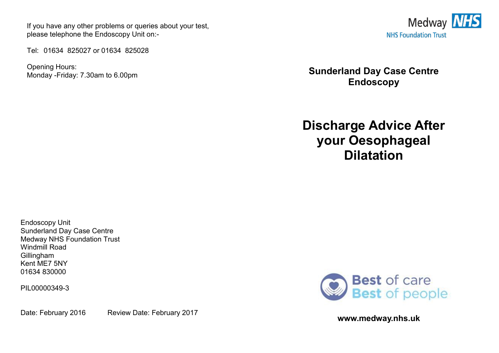If you have any other problems or queries about your test, please telephone the Endoscopy Unit on:-

Tel: 01634 825027 or 01634 825028

Opening Hours: Monday -Friday: 7.30am to 6.00pm



**Sunderland Day Case Centre Endoscopy** 

**Discharge Advice After your Oesophageal Dilatation** 

Endoscopy Unit Sunderland Day Case Centre Medway NHS Foundation Trust Windmill Road Gillingham Kent ME7 5NY 01634 830000

PIL00000349-3

Date: February 2016 Review Date: February 2017



**www.medway.nhs.uk**